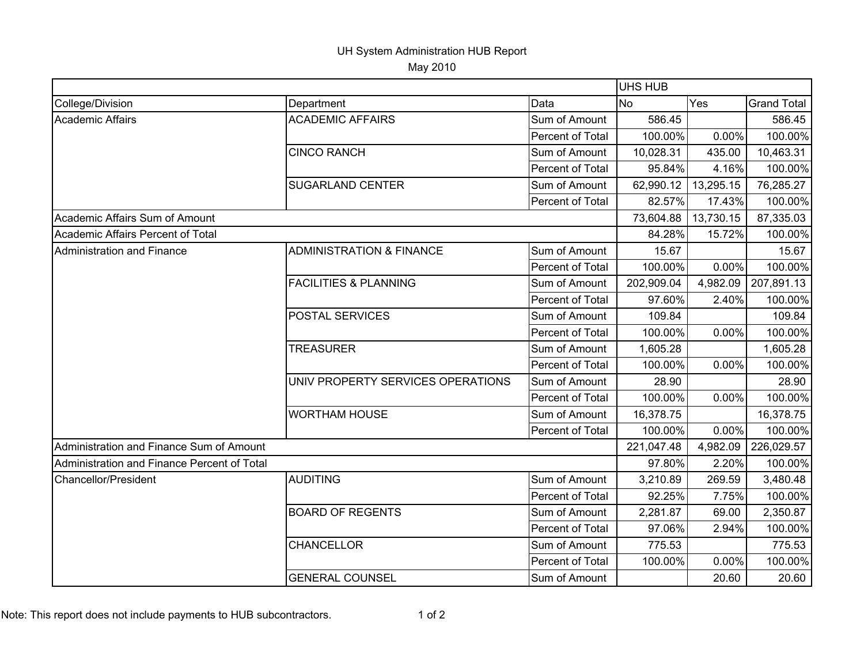## UH System Administration HUB Report

May 2010

|                                             |                                     | UHS HUB                 |            |           |                    |
|---------------------------------------------|-------------------------------------|-------------------------|------------|-----------|--------------------|
| College/Division                            | Department                          | Data                    | <b>No</b>  | Yes       | <b>Grand Total</b> |
| <b>Academic Affairs</b>                     | <b>ACADEMIC AFFAIRS</b>             | Sum of Amount           | 586.45     |           | 586.45             |
|                                             |                                     | Percent of Total        | 100.00%    | 0.00%     | 100.00%            |
|                                             | <b>CINCO RANCH</b>                  | Sum of Amount           | 10,028.31  | 435.00    | 10,463.31          |
|                                             |                                     | Percent of Total        | 95.84%     | 4.16%     | 100.00%            |
|                                             | <b>SUGARLAND CENTER</b>             | Sum of Amount           | 62,990.12  | 13,295.15 | 76,285.27          |
|                                             |                                     | Percent of Total        | 82.57%     | 17.43%    | 100.00%            |
| Academic Affairs Sum of Amount              |                                     |                         | 73,604.88  | 13,730.15 | 87,335.03          |
| Academic Affairs Percent of Total           |                                     |                         | 84.28%     | 15.72%    | 100.00%            |
| Administration and Finance                  | <b>ADMINISTRATION &amp; FINANCE</b> | Sum of Amount           | 15.67      |           | 15.67              |
|                                             |                                     | Percent of Total        | 100.00%    | 0.00%     | 100.00%            |
|                                             | <b>FACILITIES &amp; PLANNING</b>    | Sum of Amount           | 202,909.04 | 4,982.09  | 207,891.13         |
|                                             |                                     | Percent of Total        | 97.60%     | 2.40%     | 100.00%            |
|                                             | POSTAL SERVICES                     | Sum of Amount           | 109.84     |           | 109.84             |
|                                             |                                     | Percent of Total        | 100.00%    | 0.00%     | 100.00%            |
|                                             | <b>TREASURER</b>                    | Sum of Amount           | 1,605.28   |           | 1,605.28           |
|                                             |                                     | Percent of Total        | 100.00%    | 0.00%     | 100.00%            |
|                                             | UNIV PROPERTY SERVICES OPERATIONS   | Sum of Amount           | 28.90      |           | 28.90              |
|                                             |                                     | Percent of Total        | 100.00%    | 0.00%     | 100.00%            |
|                                             | <b>WORTHAM HOUSE</b>                | Sum of Amount           | 16,378.75  |           | 16,378.75          |
|                                             |                                     | Percent of Total        | 100.00%    | 0.00%     | 100.00%            |
| Administration and Finance Sum of Amount    |                                     |                         | 221,047.48 | 4,982.09  | 226,029.57         |
| Administration and Finance Percent of Total |                                     |                         | 97.80%     | 2.20%     | 100.00%            |
| Chancellor/President                        | <b>AUDITING</b>                     | Sum of Amount           | 3,210.89   | 269.59    | 3,480.48           |
|                                             |                                     | <b>Percent of Total</b> | 92.25%     | 7.75%     | 100.00%            |
|                                             | <b>BOARD OF REGENTS</b>             | Sum of Amount           | 2,281.87   | 69.00     | 2,350.87           |
|                                             |                                     | Percent of Total        | 97.06%     | 2.94%     | 100.00%            |
|                                             | <b>CHANCELLOR</b>                   | Sum of Amount           | 775.53     |           | 775.53             |
|                                             |                                     | <b>Percent of Total</b> | 100.00%    | 0.00%     | 100.00%            |
|                                             | <b>GENERAL COUNSEL</b>              | Sum of Amount           |            | 20.60     | 20.60              |

Note: This report does not include payments to HUB subcontractors. 1 0f 2